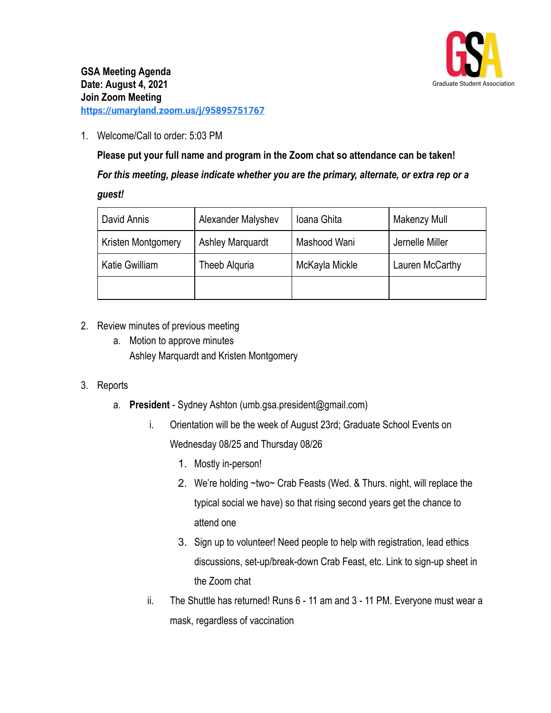

1. Welcome/Call to order: 5:03 PM

**Please put your full name and program in the Zoom chat so attendance can be taken!** *For this meeting, please indicate whether you are the primary, alternate, or extra rep or a guest!*

| David Annis           | Alexander Malyshev      | Ioana Ghita    | Makenzy Mull    |
|-----------------------|-------------------------|----------------|-----------------|
| Kristen Montgomery    | <b>Ashley Marquardt</b> | Mashood Wani   | Jernelle Miller |
| <b>Katie Gwilliam</b> | Theeb Alguria           | McKayla Mickle | Lauren McCarthy |
|                       |                         |                |                 |

## 2. Review minutes of previous meeting

a. Motion to approve minutes Ashley Marquardt and Kristen Montgomery

## 3. Reports

- a. **President** Sydney Ashton (umb.gsa.president@gmail.com)
	- i. Orientation will be the week of August 23rd; Graduate School Events on Wednesday 08/25 and Thursday 08/26
		- 1. Mostly in-person!
		- 2. We're holding ~two~ Crab Feasts (Wed. & Thurs. night, will replace the typical social we have) so that rising second years get the chance to attend one
		- 3. Sign up to volunteer! Need people to help with registration, lead ethics discussions, set-up/break-down Crab Feast, etc. Link to sign-up sheet in the Zoom chat
	- ii. The Shuttle has returned! Runs 6 11 am and 3 11 PM. Everyone must wear a mask, regardless of vaccination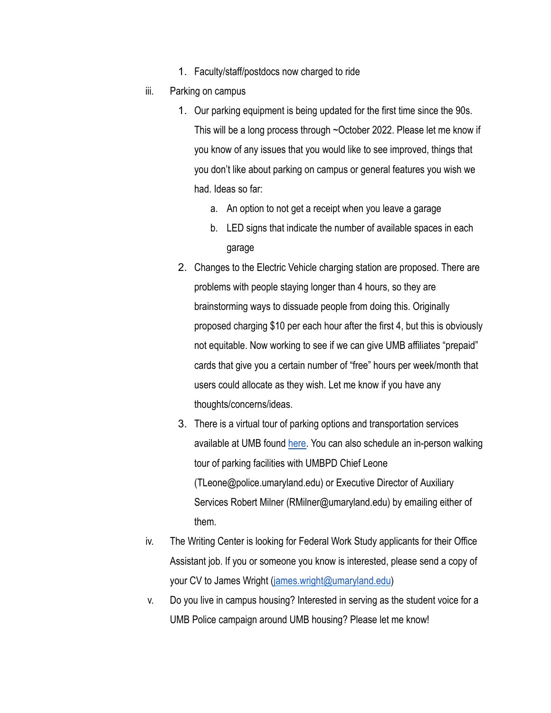- 1. Faculty/staff/postdocs now charged to ride
- iii. Parking on campus
	- 1. Our parking equipment is being updated for the first time since the 90s. This will be a long process through ~October 2022. Please let me know if you know of any issues that you would like to see improved, things that you don't like about parking on campus or general features you wish we had. Ideas so far:
		- a. An option to not get a receipt when you leave a garage
		- b. LED signs that indicate the number of available spaces in each garage
	- 2. Changes to the Electric Vehicle charging station are proposed. There are problems with people staying longer than 4 hours, so they are brainstorming ways to dissuade people from doing this. Originally proposed charging \$10 per each hour after the first 4, but this is obviously not equitable. Now working to see if we can give UMB affiliates "prepaid" cards that give you a certain number of "free" hours per week/month that users could allocate as they wish. Let me know if you have any thoughts/concerns/ideas.
	- 3. There is a virtual tour of parking options and transportation services available at UMB found [here](https://www.umaryland.edu/parking/video-tour/). You can also schedule an in-person walking tour of parking facilities with UMBPD Chief Leone (TLeone@police.umaryland.edu) or Executive Director of Auxiliary Services Robert Milner (RMilner@umaryland.edu) by emailing either of them.
- iv. The Writing Center is looking for Federal Work Study applicants for their Office Assistant job. If you or someone you know is interested, please send a copy of your CV to James Wright [\(james.wright@umaryland.edu](mailto:james.wright@umaryland.edu))
- v. Do you live in campus housing? Interested in serving as the student voice for a UMB Police campaign around UMB housing? Please let me know!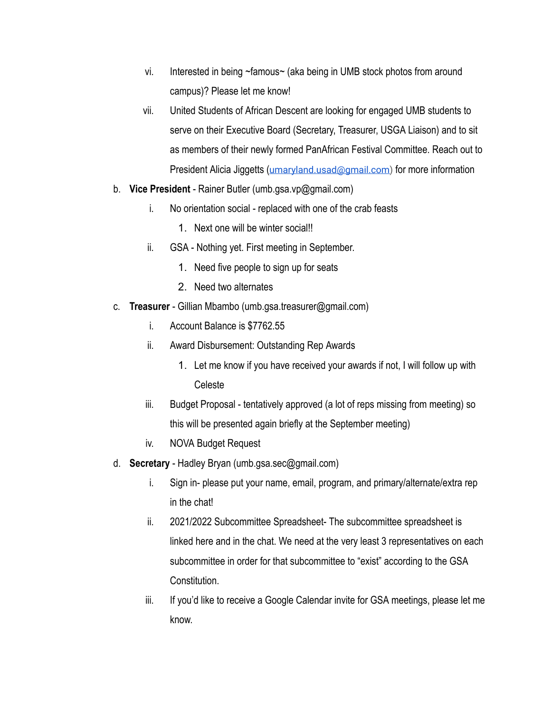- vi. Interested in being ~famous~ (aka being in UMB stock photos from around campus)? Please let me know!
- vii. United Students of African Descent are looking for engaged UMB students to serve on their Executive Board (Secretary, Treasurer, USGA Liaison) and to sit as members of their newly formed PanAfrican Festival Committee. Reach out to President Alicia Jiggetts ([umaryland.usad@gmail.com\)](mailto:umaryland.usad@gmail.com) for more information
- b. **Vice President** Rainer Butler (umb.gsa.vp@gmail.com)
	- i. No orientation social replaced with one of the crab feasts
		- 1. Next one will be winter social!!
	- ii. GSA Nothing yet. First meeting in September.
		- 1. Need five people to sign up for seats
		- 2. Need two alternates
- c. **Treasurer** Gillian Mbambo (umb.gsa.treasurer@gmail.com)
	- i. Account Balance is \$7762.55
	- ii. Award Disbursement: Outstanding Rep Awards
		- 1. Let me know if you have received your awards if not, I will follow up with Celeste
	- iii. Budget Proposal tentatively approved (a lot of reps missing from meeting) so this will be presented again briefly at the September meeting)
	- iv. NOVA Budget Request
- d. **Secretary** Hadley Bryan (umb.gsa.sec@gmail.com)
	- i. Sign in- please put your name, email, program, and primary/alternate/extra rep in the chat!
	- ii. 2021/2022 Subcommittee Spreadsheet- The subcommittee spreadsheet is linked here and in the chat. We need at the very least 3 representatives on each subcommittee in order for that subcommittee to "exist" according to the GSA Constitution.
	- iii. If you'd like to receive a Google Calendar invite for GSA meetings, please let me know.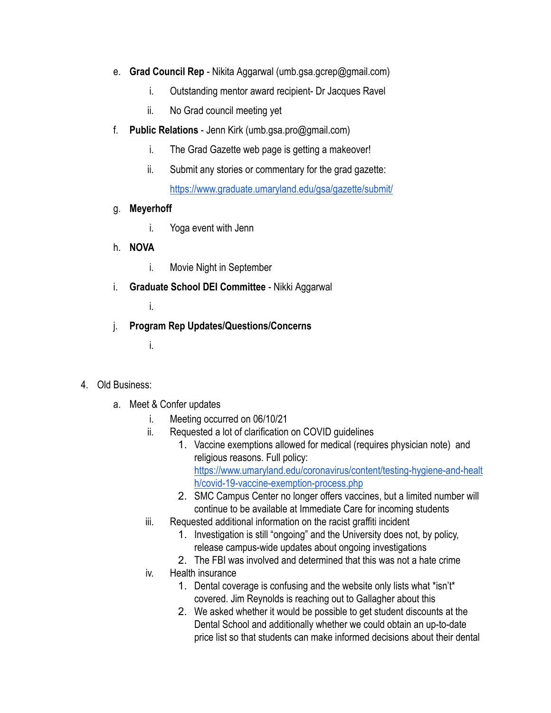- e. **Grad Council Rep** Nikita Aggarwal (umb.gsa.gcrep@gmail.com)
	- i. Outstanding mentor award recipient- Dr Jacques Ravel
	- ii. No Grad council meeting yet
- f. **Public Relations** Jenn Kirk (umb.gsa.pro@gmail.com)
	- i. The Grad Gazette web page is getting a makeover!
	- ii. Submit any stories or commentary for the grad gazette: <https://www.graduate.umaryland.edu/gsa/gazette/submit/>
- g. **Meyerhoff**
	- i. Yoga event with Jenn
- h. **NOVA**
	- i. Movie Night in September
- i. **Graduate School DEI Committee** Nikki Aggarwal
	- i.
- j. **Program Rep Updates/Questions/Concerns**
	- i.

## 4. Old Business:

- a. Meet & Confer updates
	- i. Meeting occurred on 06/10/21
	- ii. Requested a lot of clarification on COVID guidelines
		- 1. Vaccine exemptions allowed for medical (requires physician note) and religious reasons. Full policy: [https://www.umaryland.edu/coronavirus/content/testing-hygiene-and-healt](https://www.umaryland.edu/coronavirus/content/testing-hygiene-and-health/covid-19-vaccine-exemption-process.php) [h/covid-19-vaccine-exemption-process.php](https://www.umaryland.edu/coronavirus/content/testing-hygiene-and-health/covid-19-vaccine-exemption-process.php)
		- 2. SMC Campus Center no longer offers vaccines, but a limited number will continue to be available at Immediate Care for incoming students
	- iii. Requested additional information on the racist graffiti incident
		- 1. Investigation is still "ongoing" and the University does not, by policy, release campus-wide updates about ongoing investigations
		- 2. The FBI was involved and determined that this was not a hate crime
	- iv. Health insurance
		- 1. Dental coverage is confusing and the website only lists what \*isn't\* covered. Jim Reynolds is reaching out to Gallagher about this
		- 2. We asked whether it would be possible to get student discounts at the Dental School and additionally whether we could obtain an up-to-date price list so that students can make informed decisions about their dental